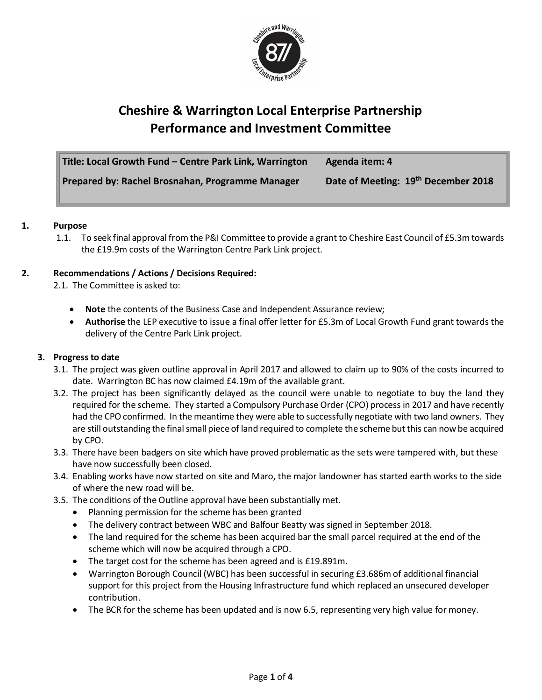

# **Cheshire & Warrington Local Enterprise Partnership Performance and Investment Committee**

| Title: Local Growth Fund - Centre Park Link, Warrington | Agenda item: 4                      |
|---------------------------------------------------------|-------------------------------------|
| Prepared by: Rachel Brosnahan, Programme Manager        | Date of Meeting: 19th December 2018 |

## **1. Purpose**

1.1. To seek final approval from the P&I Committee to provide a grant to Cheshire East Council of £5.3m towards the £19.9m costs of the Warrington Centre Park Link project.

## **2. Recommendations / Actions / Decisions Required:**

2.1. The Committee is asked to:

- **Note** the contents of the Business Case and Independent Assurance review;
- **Authorise** the LEP executive to issue a final offer letter for £5.3m of Local Growth Fund grant towards the delivery of the Centre Park Link project.

#### **3. Progress to date**

- 3.1. The project was given outline approval in April 2017 and allowed to claim up to 90% of the costs incurred to date. Warrington BC has now claimed £4.19m of the available grant.
- 3.2. The project has been significantly delayed as the council were unable to negotiate to buy the land they required for the scheme. They started a Compulsory Purchase Order (CPO) process in 2017 and have recently had the CPO confirmed. In the meantime they were able to successfully negotiate with two land owners. They are still outstanding the final small piece of land required to complete the scheme but this can now be acquired by CPO.
- 3.3. There have been badgers on site which have proved problematic as the sets were tampered with, but these have now successfully been closed.
- 3.4. Enabling works have now started on site and Maro, the major landowner has started earth works to the side of where the new road will be.
- 3.5. The conditions of the Outline approval have been substantially met.
	- Planning permission for the scheme has been granted
	- The delivery contract between WBC and Balfour Beatty was signed in September 2018.
	- The land required for the scheme has been acquired bar the small parcel required at the end of the scheme which will now be acquired through a CPO.
	- The target cost for the scheme has been agreed and is £19.891m.
	- Warrington Borough Council (WBC) has been successful in securing £3.686m of additional financial support for this project from the Housing Infrastructure fund which replaced an unsecured developer contribution.
	- The BCR for the scheme has been updated and is now 6.5, representing very high value for money.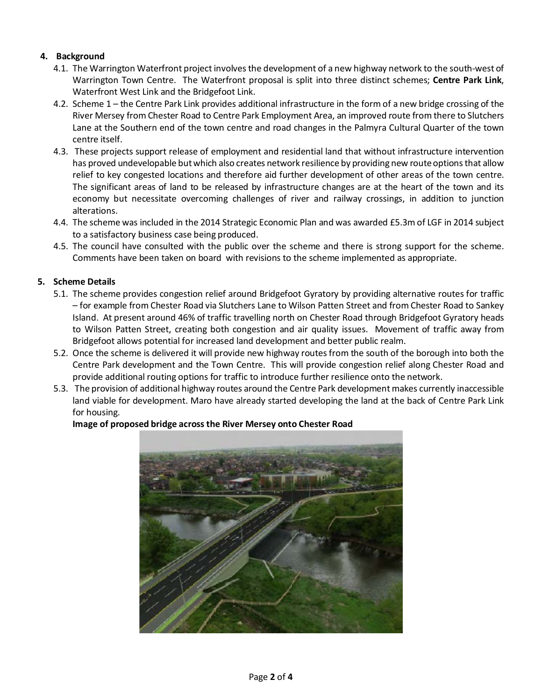# **4. Background**

- 4.1. The Warrington Waterfront project involves the development of a new highway network to the south-west of Warrington Town Centre. The Waterfront proposal is split into three distinct schemes; **Centre Park Link**, Waterfront West Link and the Bridgefoot Link.
- 4.2. Scheme 1 the Centre Park Link provides additional infrastructure in the form of a new bridge crossing of the River Mersey from Chester Road to Centre Park Employment Area, an improved route from there to Slutchers Lane at the Southern end of the town centre and road changes in the Palmyra Cultural Quarter of the town centre itself.
- 4.3. These projects support release of employment and residential land that without infrastructure intervention has proved undevelopable but which also creates network resilience by providing new route options that allow relief to key congested locations and therefore aid further development of other areas of the town centre. The significant areas of land to be released by infrastructure changes are at the heart of the town and its economy but necessitate overcoming challenges of river and railway crossings, in addition to junction alterations.
- 4.4. The scheme was included in the 2014 Strategic Economic Plan and was awarded £5.3m of LGF in 2014 subject to a satisfactory business case being produced.
- 4.5. The council have consulted with the public over the scheme and there is strong support for the scheme. Comments have been taken on board with revisions to the scheme implemented as appropriate.

# **5. Scheme Details**

- 5.1. The scheme provides congestion relief around Bridgefoot Gyratory by providing alternative routes for traffic – for example from Chester Road via Slutchers Lane to Wilson Patten Street and from Chester Road to Sankey Island. At present around 46% of traffic travelling north on Chester Road through Bridgefoot Gyratory heads to Wilson Patten Street, creating both congestion and air quality issues. Movement of traffic away from Bridgefoot allows potential for increased land development and better public realm.
- 5.2. Once the scheme is delivered it will provide new highway routes from the south of the borough into both the Centre Park development and the Town Centre. This will provide congestion relief along Chester Road and provide additional routing options for traffic to introduce further resilience onto the network.
- 5.3. The provision of additional highway routes around the Centre Park development makes currently inaccessible land viable for development. Maro have already started developing the land at the back of Centre Park Link for housing.

## **Image of proposed bridge across the River Mersey onto Chester Road**

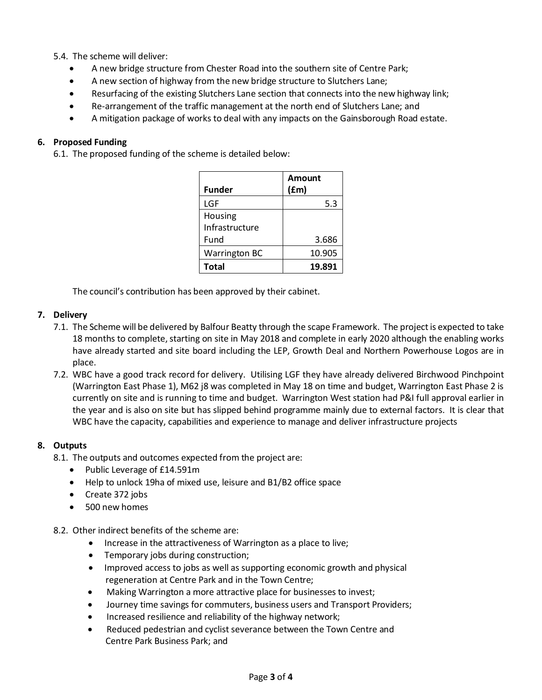## 5.4. The scheme will deliver:

- A new bridge structure from Chester Road into the southern site of Centre Park;
- A new section of highway from the new bridge structure to Slutchers Lane;
- Resurfacing of the existing Slutchers Lane section that connects into the new highway link;
- Re-arrangement of the traffic management at the north end of Slutchers Lane; and
- A mitigation package of works to deal with any impacts on the Gainsborough Road estate.

## **6. Proposed Funding**

6.1. The proposed funding of the scheme is detailed below:

|                      | Amount |
|----------------------|--------|
| Funder               | (fm)   |
| LGF                  | 5.3    |
| Housing              |        |
| Infrastructure       |        |
| Fund                 | 3.686  |
| <b>Warrington BC</b> | 10.905 |
| <b>Total</b>         | 19.891 |

The council's contribution has been approved by their cabinet.

#### **7. Delivery**

- 7.1. The Scheme will be delivered by Balfour Beatty through the scape Framework. The project is expected to take 18 months to complete, starting on site in May 2018 and complete in early 2020 although the enabling works have already started and site board including the LEP, Growth Deal and Northern Powerhouse Logos are in place.
- 7.2. WBC have a good track record for delivery. Utilising LGF they have already delivered Birchwood Pinchpoint (Warrington East Phase 1), M62 j8 was completed in May 18 on time and budget, Warrington East Phase 2 is currently on site and is running to time and budget. Warrington West station had P&I full approval earlier in the year and is also on site but has slipped behind programme mainly due to external factors. It is clear that WBC have the capacity, capabilities and experience to manage and deliver infrastructure projects

#### **8. Outputs**

- 8.1. The outputs and outcomes expected from the project are:
	- Public Leverage of £14.591m
	- Help to unlock 19ha of mixed use, leisure and B1/B2 office space
	- Create 372 jobs
	- 500 new homes
- 8.2. Other indirect benefits of the scheme are:
	- Increase in the attractiveness of Warrington as a place to live;
	- Temporary jobs during construction;
	- Improved access to jobs as well as supporting economic growth and physical regeneration at Centre Park and in the Town Centre;
	- Making Warrington a more attractive place for businesses to invest;
	- Journey time savings for commuters, business users and Transport Providers;
	- Increased resilience and reliability of the highway network;
	- Reduced pedestrian and cyclist severance between the Town Centre and Centre Park Business Park; and